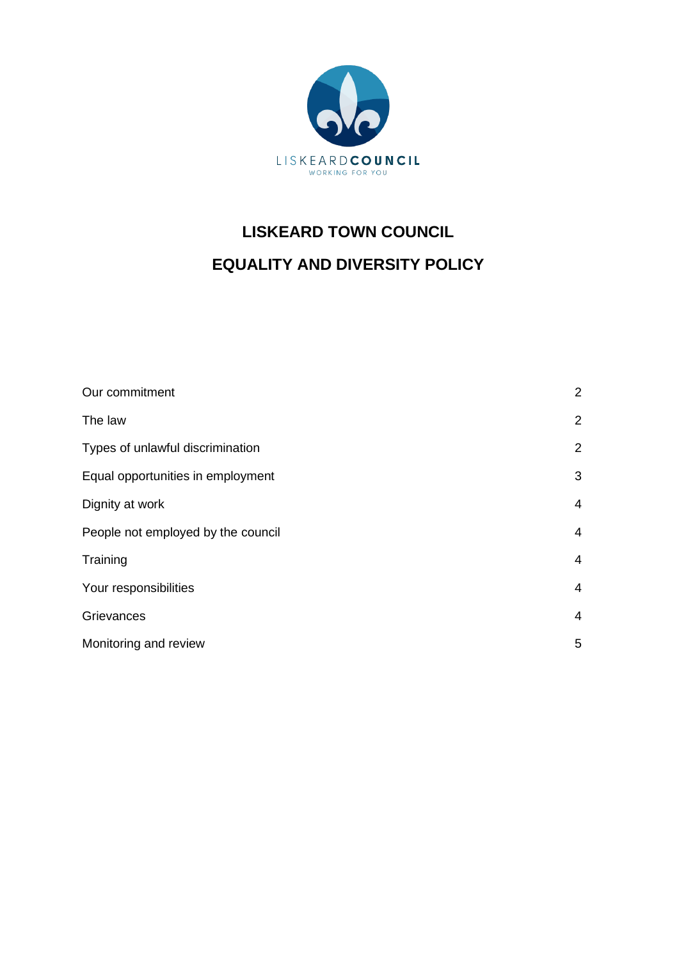

# **LISKEARD TOWN COUNCIL EQUALITY AND DIVERSITY POLICY**

| Our commitment                     | $\overline{2}$ |
|------------------------------------|----------------|
| The law                            | $\overline{2}$ |
| Types of unlawful discrimination   | 2              |
| Equal opportunities in employment  | 3              |
| Dignity at work                    | $\overline{4}$ |
| People not employed by the council | 4              |
| Training                           | 4              |
| Your responsibilities              | $\overline{4}$ |
| Grievances                         | 4              |
| Monitoring and review              | 5              |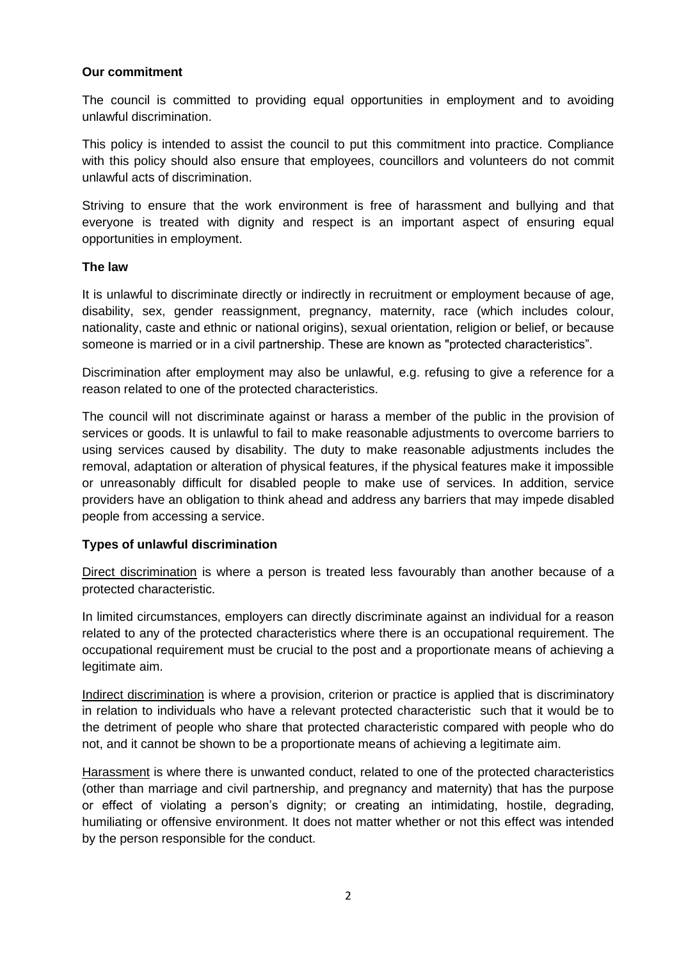## **Our commitment**

The council is committed to providing equal opportunities in employment and to avoiding unlawful discrimination.

This policy is intended to assist the council to put this commitment into practice. Compliance with this policy should also ensure that employees, councillors and volunteers do not commit unlawful acts of discrimination.

Striving to ensure that the work environment is free of harassment and bullying and that everyone is treated with dignity and respect is an important aspect of ensuring equal opportunities in employment.

#### **The law**

It is unlawful to discriminate directly or indirectly in recruitment or employment because of age, disability, sex, gender reassignment, pregnancy, maternity, race (which includes colour, nationality, caste and ethnic or national origins), sexual orientation, religion or belief, or because someone is married or in a civil partnership. These are known as "protected characteristics".

Discrimination after employment may also be unlawful, e.g. refusing to give a reference for a reason related to one of the protected characteristics.

The council will not discriminate against or harass a member of the public in the provision of services or goods. It is unlawful to fail to make reasonable adjustments to overcome barriers to using services caused by disability. The duty to make reasonable adjustments includes the removal, adaptation or alteration of physical features, if the physical features make it impossible or unreasonably difficult for disabled people to make use of services. In addition, service providers have an obligation to think ahead and address any barriers that may impede disabled people from accessing a service.

#### **Types of unlawful discrimination**

Direct discrimination is where a person is treated less favourably than another because of a protected characteristic.

In limited circumstances, employers can directly discriminate against an individual for a reason related to any of the protected characteristics where there is an occupational requirement. The occupational requirement must be crucial to the post and a proportionate means of achieving a legitimate aim.

Indirect discrimination is where a provision, criterion or practice is applied that is discriminatory in relation to individuals who have a relevant protected characteristic such that it would be to the detriment of people who share that protected characteristic compared with people who do not, and it cannot be shown to be a proportionate means of achieving a legitimate aim.

Harassment is where there is unwanted conduct, related to one of the protected characteristics (other than marriage and civil partnership, and pregnancy and maternity) that has the purpose or effect of violating a person's dignity; or creating an intimidating, hostile, degrading, humiliating or offensive environment. It does not matter whether or not this effect was intended by the person responsible for the conduct.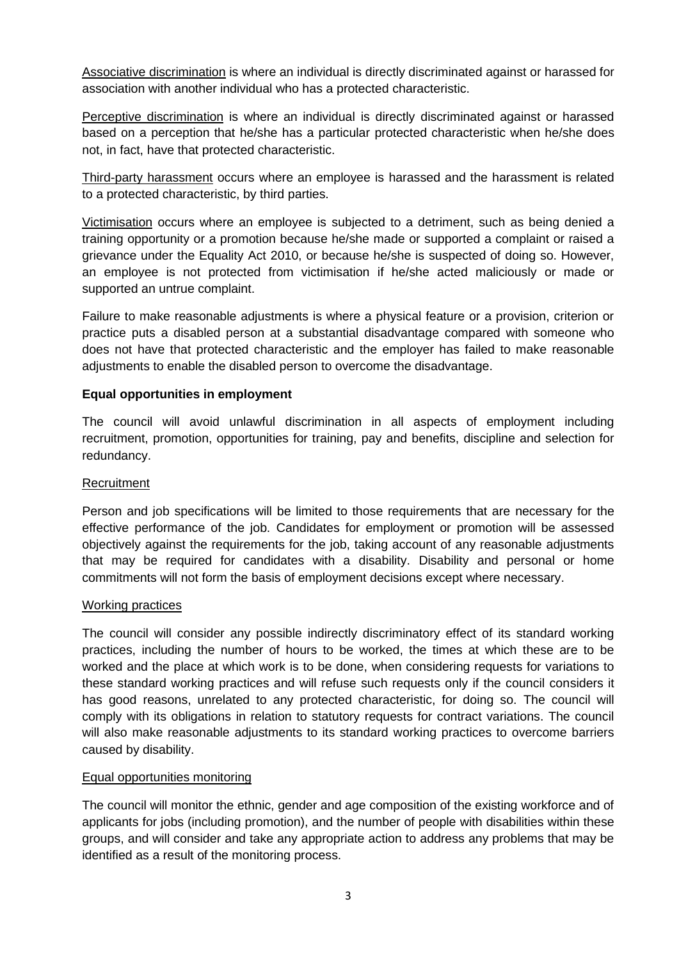Associative discrimination is where an individual is directly discriminated against or harassed for association with another individual who has a protected characteristic.

Perceptive discrimination is where an individual is directly discriminated against or harassed based on a perception that he/she has a particular protected characteristic when he/she does not, in fact, have that protected characteristic.

Third-party harassment occurs where an employee is harassed and the harassment is related to a protected characteristic, by third parties.

Victimisation occurs where an employee is subjected to a detriment, such as being denied a training opportunity or a promotion because he/she made or supported a complaint or raised a grievance under the Equality Act 2010, or because he/she is suspected of doing so. However, an employee is not protected from victimisation if he/she acted maliciously or made or supported an untrue complaint.

Failure to make reasonable adjustments is where a physical feature or a provision, criterion or practice puts a disabled person at a substantial disadvantage compared with someone who does not have that protected characteristic and the employer has failed to make reasonable adjustments to enable the disabled person to overcome the disadvantage.

## **Equal opportunities in employment**

The council will avoid unlawful discrimination in all aspects of employment including recruitment, promotion, opportunities for training, pay and benefits, discipline and selection for redundancy.

#### **Recruitment**

Person and job specifications will be limited to those requirements that are necessary for the effective performance of the job. Candidates for employment or promotion will be assessed objectively against the requirements for the job, taking account of any reasonable adjustments that may be required for candidates with a disability. Disability and personal or home commitments will not form the basis of employment decisions except where necessary.

#### Working practices

The council will consider any possible indirectly discriminatory effect of its standard working practices, including the number of hours to be worked, the times at which these are to be worked and the place at which work is to be done, when considering requests for variations to these standard working practices and will refuse such requests only if the council considers it has good reasons, unrelated to any protected characteristic, for doing so. The council will comply with its obligations in relation to statutory requests for contract variations. The council will also make reasonable adjustments to its standard working practices to overcome barriers caused by disability.

#### Equal opportunities monitoring

The council will monitor the ethnic, gender and age composition of the existing workforce and of applicants for jobs (including promotion), and the number of people with disabilities within these groups, and will consider and take any appropriate action to address any problems that may be identified as a result of the monitoring process.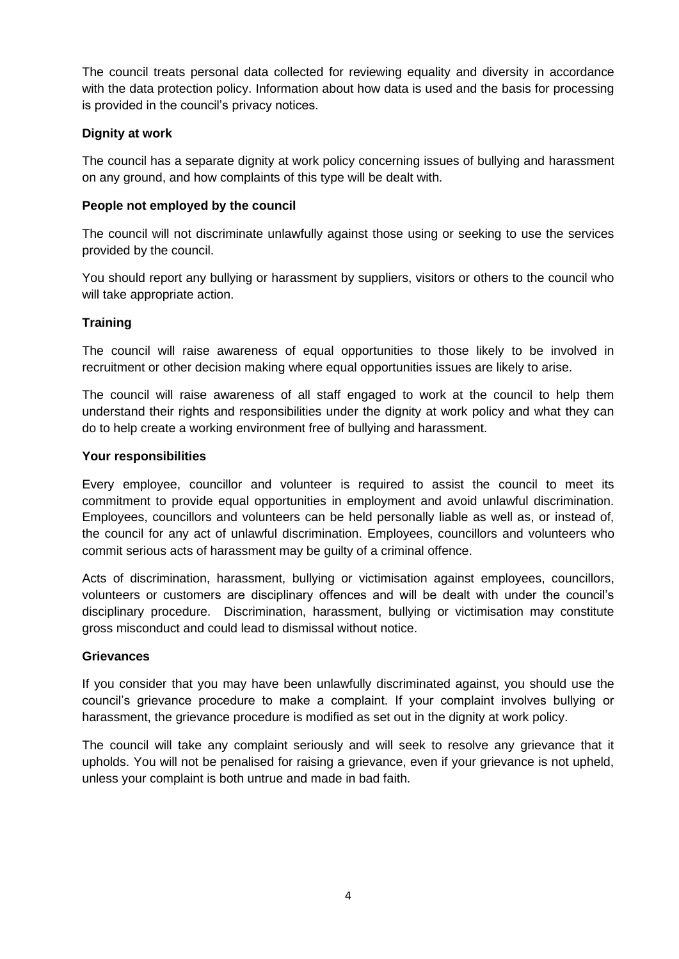The council treats personal data collected for reviewing equality and diversity in accordance with the data protection policy. Information about how data is used and the basis for processing is provided in the council's privacy notices.

# **Dignity at work**

The council has a separate dignity at work policy concerning issues of bullying and harassment on any ground, and how complaints of this type will be dealt with.

## **People not employed by the council**

The council will not discriminate unlawfully against those using or seeking to use the services provided by the council.

You should report any bullying or harassment by suppliers, visitors or others to the council who will take appropriate action.

# **Training**

The council will raise awareness of equal opportunities to those likely to be involved in recruitment or other decision making where equal opportunities issues are likely to arise.

The council will raise awareness of all staff engaged to work at the council to help them understand their rights and responsibilities under the dignity at work policy and what they can do to help create a working environment free of bullying and harassment.

#### **Your responsibilities**

Every employee, councillor and volunteer is required to assist the council to meet its commitment to provide equal opportunities in employment and avoid unlawful discrimination. Employees, councillors and volunteers can be held personally liable as well as, or instead of, the council for any act of unlawful discrimination. Employees, councillors and volunteers who commit serious acts of harassment may be guilty of a criminal offence.

Acts of discrimination, harassment, bullying or victimisation against employees, councillors, volunteers or customers are disciplinary offences and will be dealt with under the council's disciplinary procedure. Discrimination, harassment, bullying or victimisation may constitute gross misconduct and could lead to dismissal without notice.

#### **Grievances**

If you consider that you may have been unlawfully discriminated against, you should use the council's grievance procedure to make a complaint. If your complaint involves bullying or harassment, the grievance procedure is modified as set out in the dignity at work policy.

The council will take any complaint seriously and will seek to resolve any grievance that it upholds. You will not be penalised for raising a grievance, even if your grievance is not upheld, unless your complaint is both untrue and made in bad faith.